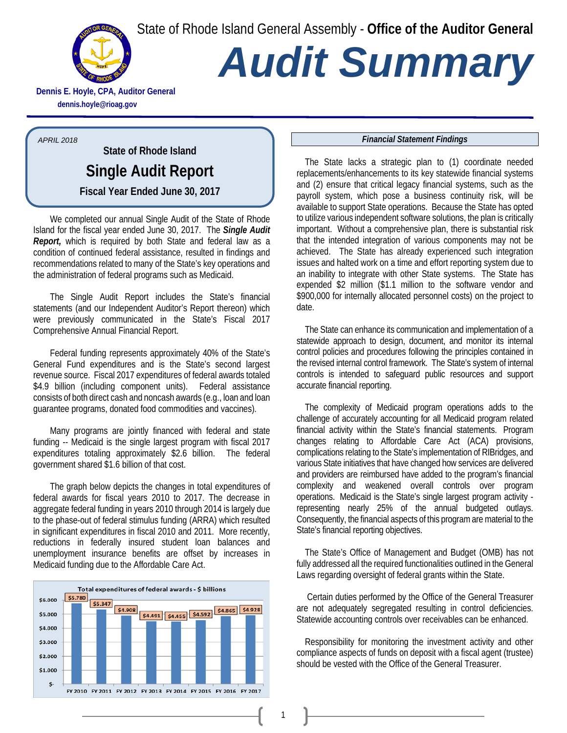State of Rhode Island General Assembly - **Office of the Auditor General**



# *Audit Summary*

**Dennis E. Hoyle, CPA, Auditor General dennis.hoyle@rioag.gov**

*APRIL 2018*

**State of Rhode Island Single Audit Report Fiscal Year Ended June 30, 2017**

We completed our annual Single Audit of the State of Rhode Island for the fiscal year ended June 30, 2017. The *Single Audit Report,* which is required by both State and federal law as a condition of continued federal assistance, resulted in findings and recommendations related to many of the State's key operations and the administration of federal programs such as Medicaid.

The Single Audit Report includes the State's financial statements (and our Independent Auditor's Report thereon) which were previously communicated in the State's Fiscal 2017 Comprehensive Annual Financial Report.

Federal funding represents approximately 40% of the State's General Fund expenditures and is the State's second largest revenue source. Fiscal 2017 expenditures of federal awards totaled \$4.9 billion (including component units). Federal assistance consists of both direct cash and noncash awards (e.g., loan and loan guarantee programs, donated food commodities and vaccines).

Many programs are jointly financed with federal and state funding -- Medicaid is the single largest program with fiscal 2017 expenditures totaling approximately \$2.6 billion. The federal government shared \$1.6 billion of that cost.

The graph below depicts the changes in total expenditures of federal awards for fiscal years 2010 to 2017. The decrease in aggregate federal funding in years 2010 through 2014 is largely due to the phase-out of federal stimulus funding (ARRA) which resulted in significant expenditures in fiscal 2010 and 2011. More recently, reductions in federally insured student loan balances and unemployment insurance benefits are offset by increases in Medicaid funding due to the Affordable Care Act.



#### *Financial Statement Findings*

The State lacks a strategic plan to (1) coordinate needed replacements/enhancements to its key statewide financial systems and (2) ensure that critical legacy financial systems, such as the payroll system, which pose a business continuity risk, will be available to support State operations. Because the State has opted to utilize various independent software solutions, the plan is critically important. Without a comprehensive plan, there is substantial risk that the intended integration of various components may not be achieved. The State has already experienced such integration issues and halted work on a time and effort reporting system due to an inability to integrate with other State systems. The State has expended \$2 million (\$1.1 million to the software vendor and \$900,000 for internally allocated personnel costs) on the project to date.

The State can enhance its communication and implementation of a statewide approach to design, document, and monitor its internal control policies and procedures following the principles contained in the revised internal control framework. The State's system of internal controls is intended to safeguard public resources and support accurate financial reporting.

The complexity of Medicaid program operations adds to the challenge of accurately accounting for all Medicaid program related financial activity within the State's financial statements. Program changes relating to Affordable Care Act (ACA) provisions, complications relating to the State's implementation of RIBridges, and various State initiatives that have changed how services are delivered and providers are reimbursed have added to the program's financial complexity and weakened overall controls over program operations. Medicaid is the State's single largest program activity representing nearly 25% of the annual budgeted outlays. Consequently, the financial aspects of this program are material to the State's financial reporting objectives.

The State's Office of Management and Budget (OMB) has not fully addressed all the required functionalities outlined in the General Laws regarding oversight of federal grants within the State.

Certain duties performed by the Office of the General Treasurer are not adequately segregated resulting in control deficiencies. Statewide accounting controls over receivables can be enhanced.

Responsibility for monitoring the investment activity and other compliance aspects of funds on deposit with a fiscal agent (trustee) should be vested with the Office of the General Treasurer.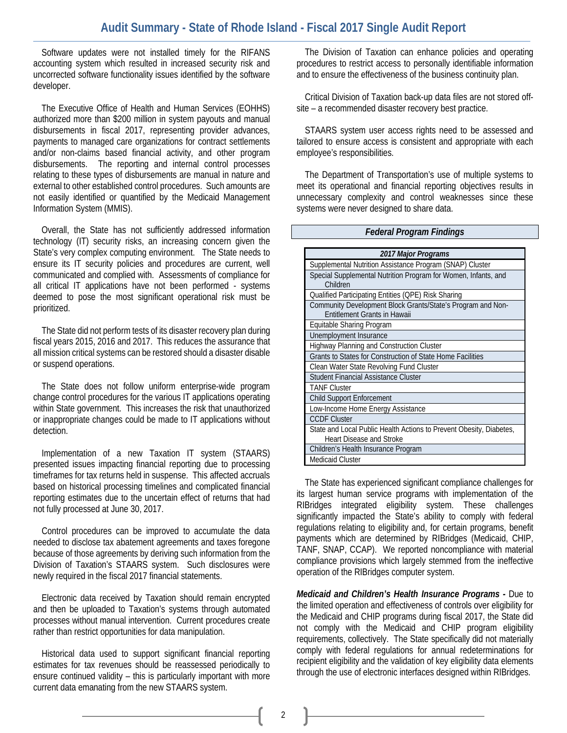## **Audit Summary - State of Rhode Island - Fiscal 2017 Single Audit Report**

Software updates were not installed timely for the RIFANS accounting system which resulted in increased security risk and uncorrected software functionality issues identified by the software developer.

The Executive Office of Health and Human Services (EOHHS) authorized more than \$200 million in system payouts and manual disbursements in fiscal 2017, representing provider advances, payments to managed care organizations for contract settlements and/or non-claims based financial activity, and other program disbursements. The reporting and internal control processes relating to these types of disbursements are manual in nature and external to other established control procedures. Such amounts are not easily identified or quantified by the Medicaid Management Information System (MMIS).

Overall, the State has not sufficiently addressed information technology (IT) security risks, an increasing concern given the State's very complex computing environment. The State needs to ensure its IT security policies and procedures are current, well communicated and complied with. Assessments of compliance for all critical IT applications have not been performed - systems deemed to pose the most significant operational risk must be prioritized.

The State did not perform tests of its disaster recovery plan during fiscal years 2015, 2016 and 2017. This reduces the assurance that all mission critical systems can be restored should a disaster disable or suspend operations.

The State does not follow uniform enterprise-wide program change control procedures for the various IT applications operating within State government. This increases the risk that unauthorized or inappropriate changes could be made to IT applications without detection.

Implementation of a new Taxation IT system (STAARS) presented issues impacting financial reporting due to processing timeframes for tax returns held in suspense. This affected accruals based on historical processing timelines and complicated financial reporting estimates due to the uncertain effect of returns that had not fully processed at June 30, 2017.

Control procedures can be improved to accumulate the data needed to disclose tax abatement agreements and taxes foregone because of those agreements by deriving such information from the Division of Taxation's STAARS system. Such disclosures were newly required in the fiscal 2017 financial statements.

Electronic data received by Taxation should remain encrypted and then be uploaded to Taxation's systems through automated processes without manual intervention. Current procedures create rather than restrict opportunities for data manipulation.

Historical data used to support significant financial reporting estimates for tax revenues should be reassessed periodically to ensure continued validity – this is particularly important with more current data emanating from the new STAARS system.

The Division of Taxation can enhance policies and operating procedures to restrict access to personally identifiable information and to ensure the effectiveness of the business continuity plan.

Critical Division of Taxation back-up data files are not stored offsite – a recommended disaster recovery best practice.

STAARS system user access rights need to be assessed and tailored to ensure access is consistent and appropriate with each employee's responsibilities.

The Department of Transportation's use of multiple systems to meet its operational and financial reporting objectives results in unnecessary complexity and control weaknesses since these systems were never designed to share data.

#### *Federal Program Findings*

| 2017 Major Programs                                                                                    |  |  |  |  |
|--------------------------------------------------------------------------------------------------------|--|--|--|--|
| Supplemental Nutrition Assistance Program (SNAP) Cluster                                               |  |  |  |  |
| Special Supplemental Nutrition Program for Women, Infants, and<br>Children                             |  |  |  |  |
| Qualified Participating Entities (QPE) Risk Sharing                                                    |  |  |  |  |
| Community Development Block Grants/State's Program and Non-<br><b>Entitlement Grants in Hawaii</b>     |  |  |  |  |
| Equitable Sharing Program                                                                              |  |  |  |  |
| Unemployment Insurance                                                                                 |  |  |  |  |
| <b>Highway Planning and Construction Cluster</b>                                                       |  |  |  |  |
| Grants to States for Construction of State Home Facilities                                             |  |  |  |  |
| Clean Water State Revolving Fund Cluster                                                               |  |  |  |  |
| Student Financial Assistance Cluster                                                                   |  |  |  |  |
| <b>TANF Cluster</b>                                                                                    |  |  |  |  |
| <b>Child Support Enforcement</b>                                                                       |  |  |  |  |
| Low-Income Home Energy Assistance                                                                      |  |  |  |  |
| <b>CCDF Cluster</b>                                                                                    |  |  |  |  |
| State and Local Public Health Actions to Prevent Obesity, Diabetes,<br><b>Heart Disease and Stroke</b> |  |  |  |  |
| Children's Health Insurance Program                                                                    |  |  |  |  |
| <b>Medicaid Cluster</b>                                                                                |  |  |  |  |

The State has experienced significant compliance challenges for its largest human service programs with implementation of the RIBridges integrated eligibility system. These challenges significantly impacted the State's ability to comply with federal regulations relating to eligibility and, for certain programs, benefit payments which are determined by RIBridges (Medicaid, CHIP, TANF, SNAP, CCAP). We reported noncompliance with material compliance provisions which largely stemmed from the ineffective operation of the RIBridges computer system.

*Medicaid and Children's Health Insurance Programs -* Due to the limited operation and effectiveness of controls over eligibility for the Medicaid and CHIP programs during fiscal 2017, the State did not comply with the Medicaid and CHIP program eligibility requirements, collectively. The State specifically did not materially comply with federal regulations for annual redeterminations for recipient eligibility and the validation of key eligibility data elements through the use of electronic interfaces designed within RIBridges.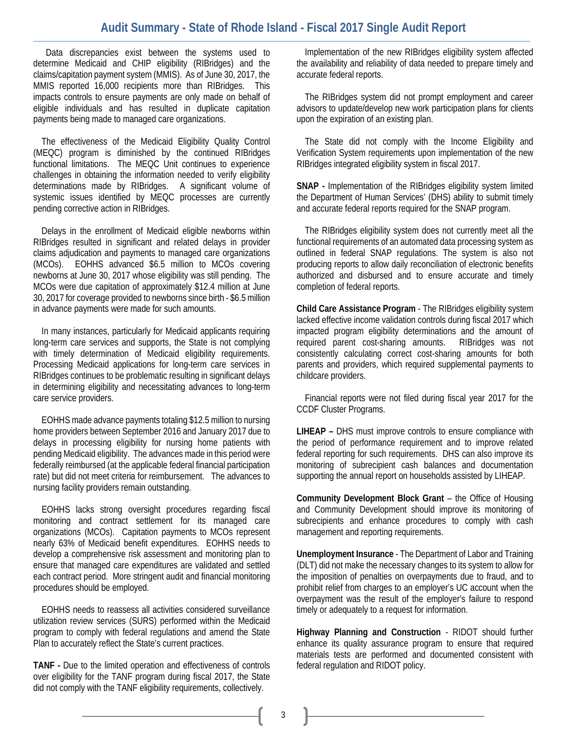### **Audit Summary - State of Rhode Island - Fiscal 2017 Single Audit Report**

Data discrepancies exist between the systems used to determine Medicaid and CHIP eligibility (RIBridges) and the claims/capitation payment system (MMIS). As of June 30, 2017, the MMIS reported 16,000 recipients more than RIBridges. This impacts controls to ensure payments are only made on behalf of eligible individuals and has resulted in duplicate capitation payments being made to managed care organizations.

The effectiveness of the Medicaid Eligibility Quality Control (MEQC) program is diminished by the continued RIBridges functional limitations. The MEQC Unit continues to experience challenges in obtaining the information needed to verify eligibility determinations made by RIBridges. A significant volume of systemic issues identified by MEQC processes are currently pending corrective action in RIBridges.

Delays in the enrollment of Medicaid eligible newborns within RIBridges resulted in significant and related delays in provider claims adjudication and payments to managed care organizations (MCOs). EOHHS advanced \$6.5 million to MCOs covering newborns at June 30, 2017 whose eligibility was still pending. The MCOs were due capitation of approximately \$12.4 million at June 30, 2017 for coverage provided to newborns since birth - \$6.5 million in advance payments were made for such amounts.

In many instances, particularly for Medicaid applicants requiring long-term care services and supports, the State is not complying with timely determination of Medicaid eligibility requirements. Processing Medicaid applications for long-term care services in RIBridges continues to be problematic resulting in significant delays in determining eligibility and necessitating advances to long-term care service providers.

EOHHS made advance payments totaling \$12.5 million to nursing home providers between September 2016 and January 2017 due to delays in processing eligibility for nursing home patients with pending Medicaid eligibility. The advances made in this period were federally reimbursed (at the applicable federal financial participation rate) but did not meet criteria for reimbursement. The advances to nursing facility providers remain outstanding.

EOHHS lacks strong oversight procedures regarding fiscal monitoring and contract settlement for its managed care organizations (MCOs). Capitation payments to MCOs represent nearly 63% of Medicaid benefit expenditures. EOHHS needs to develop a comprehensive risk assessment and monitoring plan to ensure that managed care expenditures are validated and settled each contract period. More stringent audit and financial monitoring procedures should be employed.

EOHHS needs to reassess all activities considered surveillance utilization review services (SURS) performed within the Medicaid program to comply with federal regulations and amend the State Plan to accurately reflect the State's current practices.

**TANF -** Due to the limited operation and effectiveness of controls over eligibility for the TANF program during fiscal 2017, the State did not comply with the TANF eligibility requirements, collectively.

Implementation of the new RIBridges eligibility system affected the availability and reliability of data needed to prepare timely and accurate federal reports.

The RIBridges system did not prompt employment and career advisors to update/develop new work participation plans for clients upon the expiration of an existing plan.

The State did not comply with the Income Eligibility and Verification System requirements upon implementation of the new RIBridges integrated eligibility system in fiscal 2017.

**SNAP -** Implementation of the RIBridges eligibility system limited the Department of Human Services' (DHS) ability to submit timely and accurate federal reports required for the SNAP program.

The RIBridges eligibility system does not currently meet all the functional requirements of an automated data processing system as outlined in federal SNAP regulations. The system is also not producing reports to allow daily reconciliation of electronic benefits authorized and disbursed and to ensure accurate and timely completion of federal reports.

**Child Care Assistance Program** - The RIBridges eligibility system lacked effective income validation controls during fiscal 2017 which impacted program eligibility determinations and the amount of required parent cost-sharing amounts. RIBridges was not consistently calculating correct cost-sharing amounts for both parents and providers, which required supplemental payments to childcare providers.

Financial reports were not filed during fiscal year 2017 for the CCDF Cluster Programs.

**LIHEAP –** DHS must improve controls to ensure compliance with the period of performance requirement and to improve related federal reporting for such requirements. DHS can also improve its monitoring of subrecipient cash balances and documentation supporting the annual report on households assisted by LIHEAP.

**Community Development Block Grant** – the Office of Housing and Community Development should improve its monitoring of subrecipients and enhance procedures to comply with cash management and reporting requirements.

**Unemployment Insurance** - The Department of Labor and Training (DLT) did not make the necessary changes to its system to allow for the imposition of penalties on overpayments due to fraud, and to prohibit relief from charges to an employer's UC account when the overpayment was the result of the employer's failure to respond timely or adequately to a request for information.

**Highway Planning and Construction** - RIDOT should further enhance its quality assurance program to ensure that required materials tests are performed and documented consistent with federal regulation and RIDOT policy.